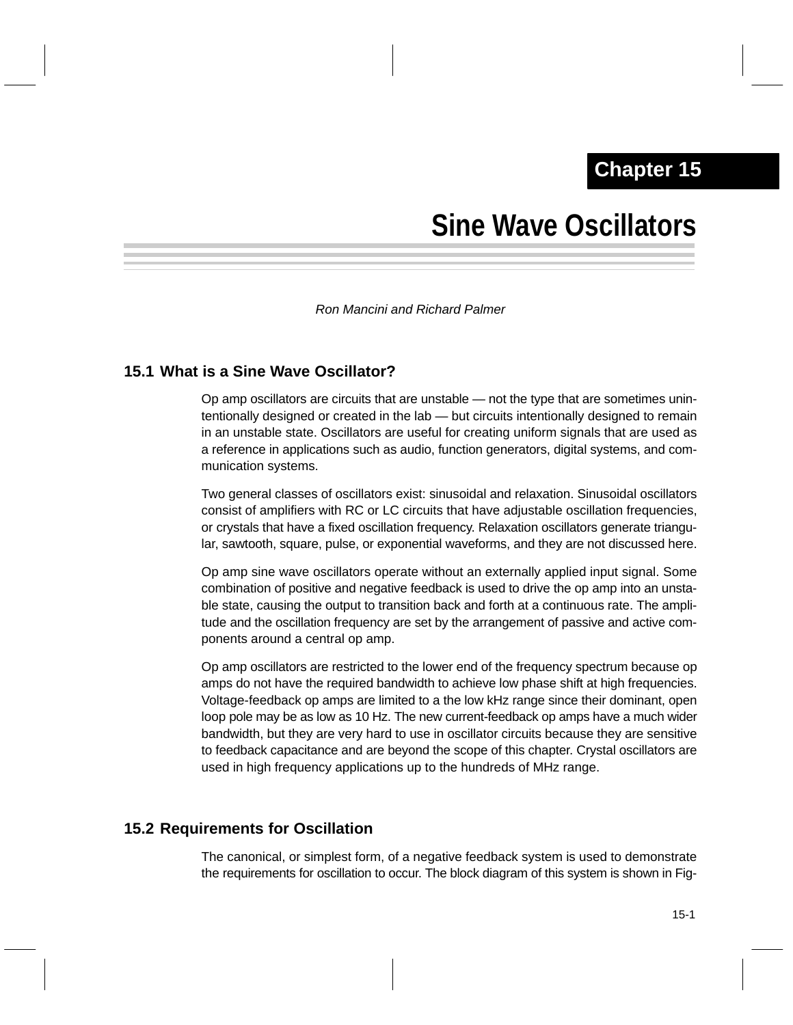# **Chapter 15**

# **Sine Wave Oscillators**

Ron Mancini and Richard Palmer

### **15.1 What is a Sine Wave Oscillator?**

Op amp oscillators are circuits that are unstable — not the type that are sometimes unintentionally designed or created in the lab — but circuits intentionally designed to remain in an unstable state. Oscillators are useful for creating uniform signals that are used as a reference in applications such as audio, function generators, digital systems, and communication systems.

Two general classes of oscillators exist: sinusoidal and relaxation. Sinusoidal oscillators consist of amplifiers with RC or LC circuits that have adjustable oscillation frequencies, or crystals that have a fixed oscillation frequency. Relaxation oscillators generate triangular, sawtooth, square, pulse, or exponential waveforms, and they are not discussed here.

Op amp sine wave oscillators operate without an externally applied input signal. Some combination of positive and negative feedback is used to drive the op amp into an unstable state, causing the output to transition back and forth at a continuous rate. The amplitude and the oscillation frequency are set by the arrangement of passive and active components around a central op amp.

Op amp oscillators are restricted to the lower end of the frequency spectrum because op amps do not have the required bandwidth to achieve low phase shift at high frequencies. Voltage-feedback op amps are limited to a the low kHz range since their dominant, open loop pole may be as low as 10 Hz. The new current-feedback op amps have a much wider bandwidth, but they are very hard to use in oscillator circuits because they are sensitive to feedback capacitance and are beyond the scope of this chapter. Crystal oscillators are used in high frequency applications up to the hundreds of MHz range.

#### **15.2 Requirements for Oscillation**

The canonical, or simplest form, of a negative feedback system is used to demonstrate the requirements for oscillation to occur. The block diagram of this system is shown in Fig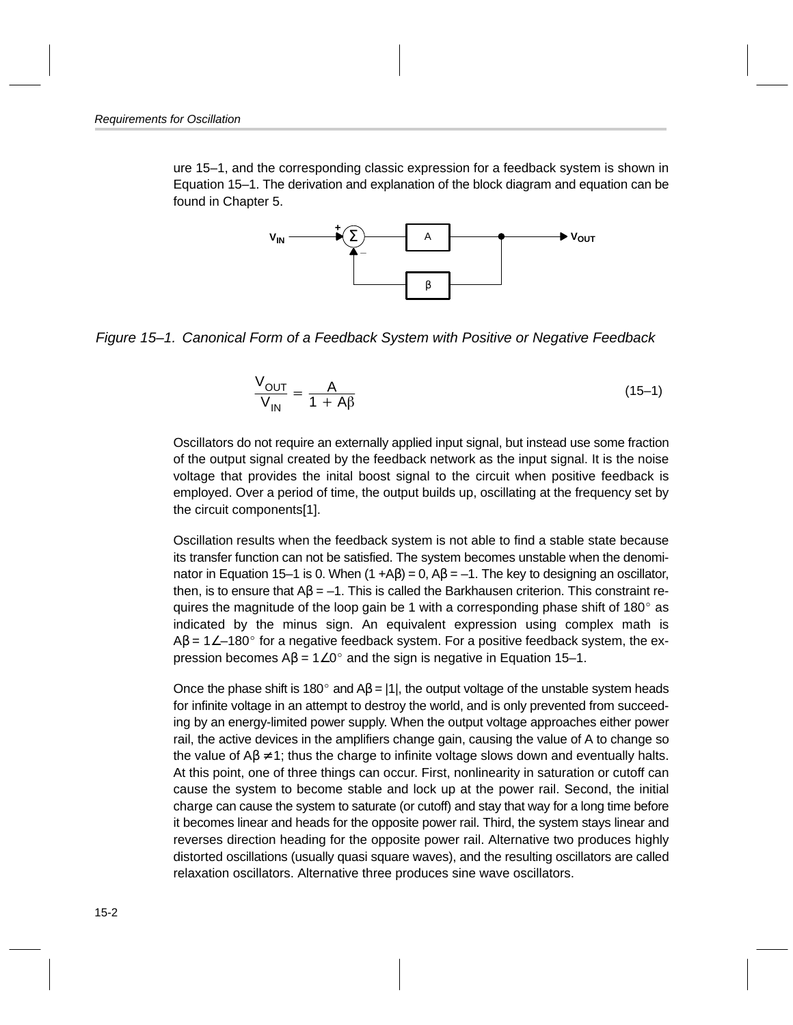ure 15–1, and the corresponding classic expression for a feedback system is shown in Equation 15–1. The derivation and explanation of the block diagram and equation can be found in Chapter 5.



Figure 15–1. Canonical Form of a Feedback System with Positive or Negative Feedback

$$
\frac{V_{OUT}}{V_{IN}} = \frac{A}{1 + A\beta} \tag{15-1}
$$

Oscillators do not require an externally applied input signal, but instead use some fraction of the output signal created by the feedback network as the input signal. It is the noise voltage that provides the inital boost signal to the circuit when positive feedback is employed. Over a period of time, the output builds up, oscillating at the frequency set by the circuit components[1].

Oscillation results when the feedback system is not able to find a stable state because its transfer function can not be satisfied. The system becomes unstable when the denominator in Equation 15–1 is 0. When  $(1 + A\beta) = 0$ ,  $A\beta = -1$ . The key to designing an oscillator, then, is to ensure that  $\mathsf{A}\mathsf{B} = -1$ . This is called the Barkhausen criterion. This constraint requires the magnitude of the loop gain be 1 with a corresponding phase shift of 180 $^{\circ}$  as indicated by the minus sign. An equivalent expression using complex math is Aβ =  $1\angle$ -180° for a negative feedback system. For a positive feedback system, the ex-Pression becomes Aβ = 1∠0° and the sign is negative in Equation 15–1.

Once the phase shift is 180 $^{\circ}$  and A $\beta$  = |1|, the output voltage of the unstable system heads for infinite voltage in an attempt to destroy the world, and is only prevented from succeeding by an energy-limited power supply. When the output voltage approaches either power rail, the active devices in the amplifiers change gain, causing the value of A to change so the value of  $\mathsf{A}\mathsf{B} \neq 1$ ; thus the charge to infinite voltage slows down and eventually halts. At this point, one of three things can occur. First, nonlinearity in saturation or cutoff can cause the system to become stable and lock up at the power rail. Second, the initial charge can cause the system to saturate (or cutoff) and stay that way for a long time before it becomes linear and heads for the opposite power rail. Third, the system stays linear and reverses direction heading for the opposite power rail. Alternative two produces highly distorted oscillations (usually quasi square waves), and the resulting oscillators are called relaxation oscillators. Alternative three produces sine wave oscillators.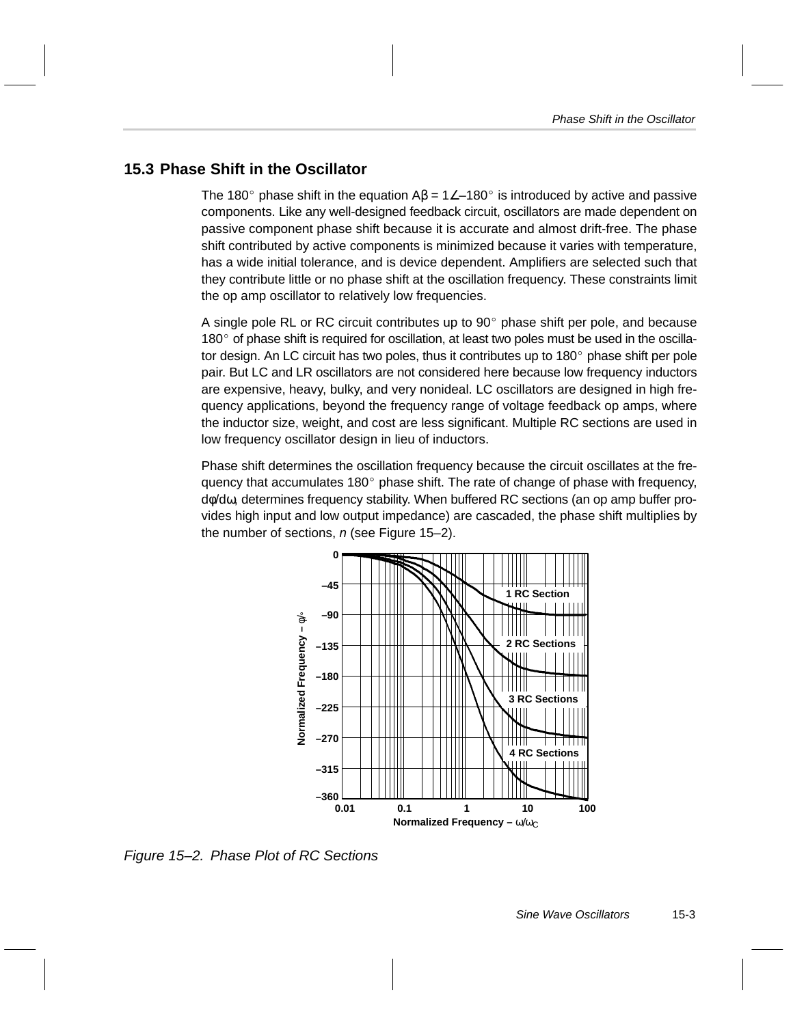#### **15.3 Phase Shift in the Oscillator**

The 180° phase shift in the equation  $\mathsf{A}\mathsf{B} = 1\angle -180^\circ$  is introduced by active and passive components. Like any well-designed feedback circuit, oscillators are made dependent on passive component phase shift because it is accurate and almost drift-free. The phase shift contributed by active components is minimized because it varies with temperature, has a wide initial tolerance, and is device dependent. Amplifiers are selected such that they contribute little or no phase shift at the oscillation frequency. These constraints limit the op amp oscillator to relatively low frequencies.

A single pole RL or RC circuit contributes up to 90 $^{\circ}$  phase shift per pole, and because 180° of phase shift is required for oscillation, at least two poles must be used in the oscillator design. An LC circuit has two poles, thus it contributes up to 180° phase shift per pole pair. But LC and LR oscillators are not considered here because low frequency inductors are expensive, heavy, bulky, and very nonideal. LC oscillators are designed in high frequency applications, beyond the frequency range of voltage feedback op amps, where the inductor size, weight, and cost are less significant. Multiple RC sections are used in low frequency oscillator design in lieu of inductors.

Phase shift determines the oscillation frequency because the circuit oscillates at the frequency that accumulates 180° phase shift. The rate of change of phase with frequency, dφ/dω, determines frequency stability. When buffered RC sections (an op amp buffer provides high input and low output impedance) are cascaded, the phase shift multiplies by the number of sections,  $n$  (see Figure 15-2).



Figure 15–2. Phase Plot of RC Sections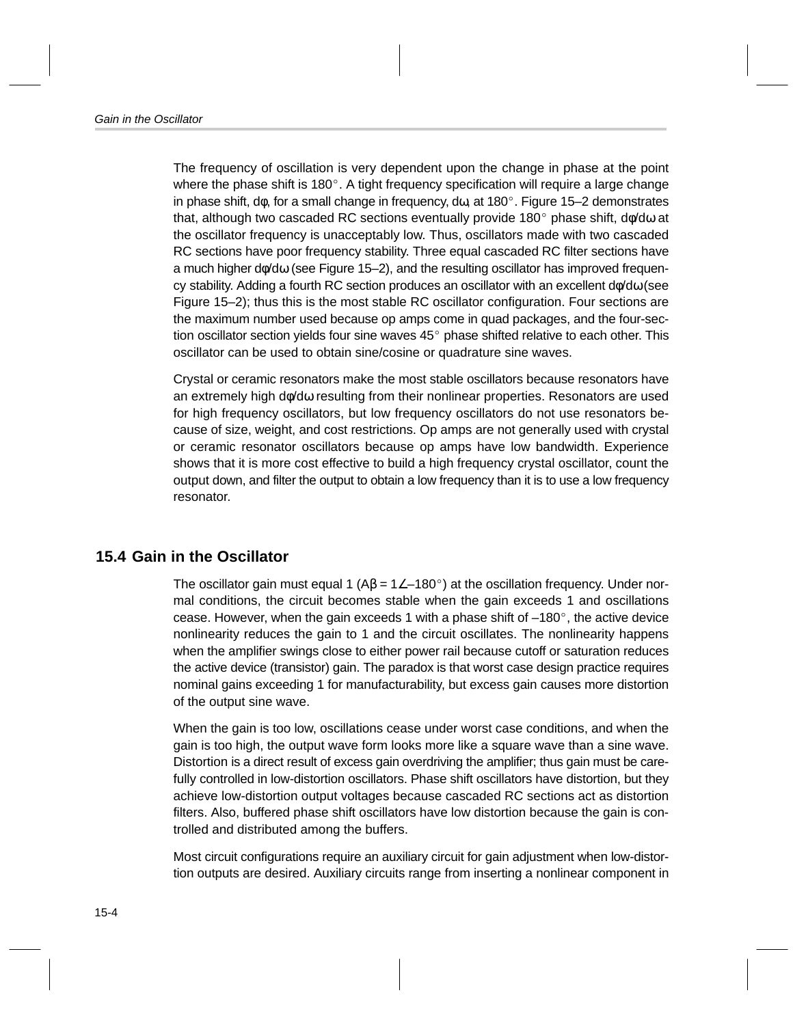The frequency of oscillation is very dependent upon the change in phase at the point where the phase shift is 180°. A tight frequency specification will require a large change in phase shift, dϕ, for a small change in frequency, dω, at 180°. Figure 15–2 demonstrates that, although two cascaded RC sections eventually provide 180° phase shift, do/dω at the oscillator frequency is unacceptably low. Thus, oscillators made with two cascaded RC sections have poor frequency stability. Three equal cascaded RC filter sections have a much higher dφ/dω (see Figure 15–2), and the resulting oscillator has improved frequency stability. Adding a fourth RC section produces an oscillator with an excellent dφ/dω (see Figure 15–2); thus this is the most stable RC oscillator configuration. Four sections are the maximum number used because op amps come in quad packages, and the four-section oscillator section yields four sine waves 45° phase shifted relative to each other. This oscillator can be used to obtain sine/cosine or quadrature sine waves.

Crystal or ceramic resonators make the most stable oscillators because resonators have an extremely high dφ/dω resulting from their nonlinear properties. Resonators are used for high frequency oscillators, but low frequency oscillators do not use resonators because of size, weight, and cost restrictions. Op amps are not generally used with crystal or ceramic resonator oscillators because op amps have low bandwidth. Experience shows that it is more cost effective to build a high frequency crystal oscillator, count the output down, and filter the output to obtain a low frequency than it is to use a low frequency resonator.

#### **15.4 Gain in the Oscillator**

The oscillator gain must equal 1 ( $\mathsf{A}\beta = 1\angle -180^\circ$ ) at the oscillation frequency. Under normal conditions, the circuit becomes stable when the gain exceeds 1 and oscillations cease. However, when the gain exceeds 1 with a phase shift of -180°, the active device nonlinearity reduces the gain to 1 and the circuit oscillates. The nonlinearity happens when the amplifier swings close to either power rail because cutoff or saturation reduces the active device (transistor) gain. The paradox is that worst case design practice requires nominal gains exceeding 1 for manufacturability, but excess gain causes more distortion of the output sine wave.

When the gain is too low, oscillations cease under worst case conditions, and when the gain is too high, the output wave form looks more like a square wave than a sine wave. Distortion is a direct result of excess gain overdriving the amplifier; thus gain must be carefully controlled in low-distortion oscillators. Phase shift oscillators have distortion, but they achieve low-distortion output voltages because cascaded RC sections act as distortion filters. Also, buffered phase shift oscillators have low distortion because the gain is controlled and distributed among the buffers.

Most circuit configurations require an auxiliary circuit for gain adjustment when low-distortion outputs are desired. Auxiliary circuits range from inserting a nonlinear component in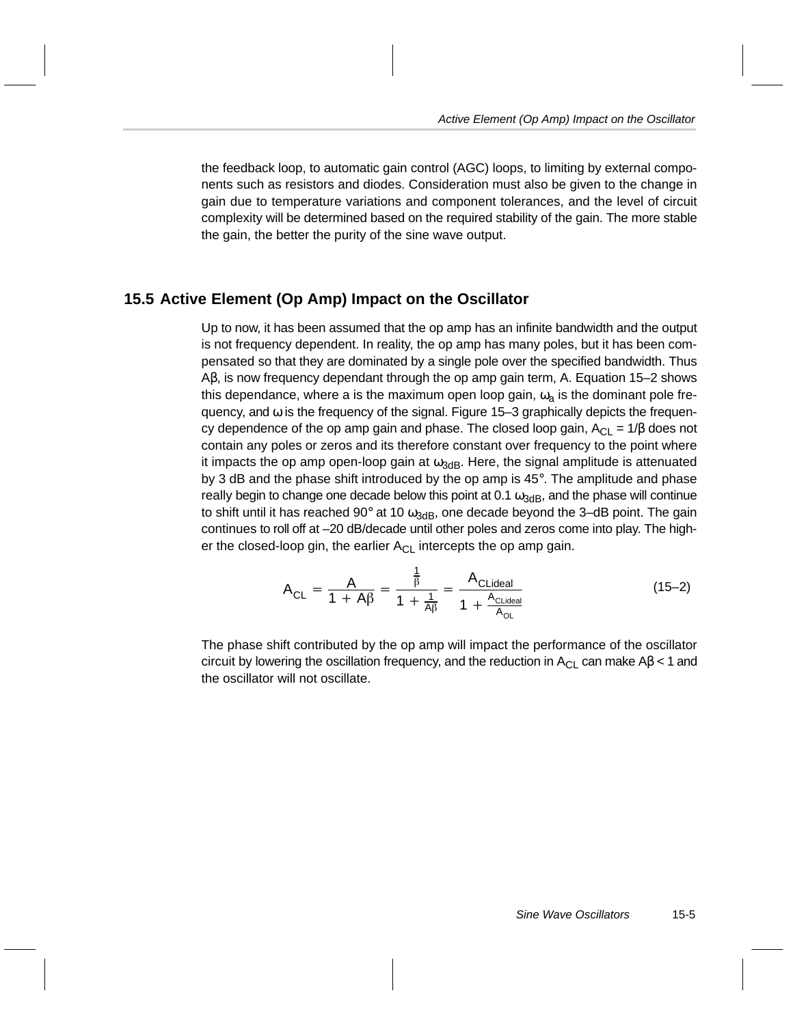the feedback loop, to automatic gain control (AGC) loops, to limiting by external components such as resistors and diodes. Consideration must also be given to the change in gain due to temperature variations and component tolerances, and the level of circuit complexity will be determined based on the required stability of the gain. The more stable the gain, the better the purity of the sine wave output.

#### **15.5 Active Element (Op Amp) Impact on the Oscillator**

Up to now, it has been assumed that the op amp has an infinite bandwidth and the output is not frequency dependent. In reality, the op amp has many poles, but it has been compensated so that they are dominated by a single pole over the specified bandwidth. Thus Aβ, is now frequency dependant through the op amp gain term, A. Equation 15–2 shows this dependance, where a is the maximum open loop gain,  $\omega_{\rm a}$  is the dominant pole frequency, and  $\omega$  is the frequency of the signal. Figure 15–3 graphically depicts the frequency dependence of the op amp gain and phase. The closed loop gain,  $A_{\text{Cl}} = 1/\beta$  does not contain any poles or zeros and its therefore constant over frequency to the point where it impacts the op amp open-loop gain at  $\omega_{3dB}$ . Here, the signal amplitude is attenuated by 3 dB and the phase shift introduced by the op amp is 45°. The amplitude and phase really begin to change one decade below this point at 0.1  $\omega_{3dB}$ , and the phase will continue to shift until it has reached 90° at 10  $\omega_{3dB}$ , one decade beyond the 3-dB point. The gain continues to roll off at –20 dB/decade until other poles and zeros come into play. The higher the closed-loop gin, the earlier  $A_{CL}$  intercepts the op amp gain.

$$
A_{CL} = \frac{A}{1 + A\beta} = \frac{\frac{1}{\beta}}{1 + \frac{1}{A\beta}} = \frac{A_{CLideal}}{1 + \frac{A_{CLideal}}{A_{OL}}}
$$
(15–2)

The phase shift contributed by the op amp will impact the performance of the oscillator circuit by lowering the oscillation frequency, and the reduction in A<sub>CL</sub> can make A $\beta$  < 1 and the oscillator will not oscillate.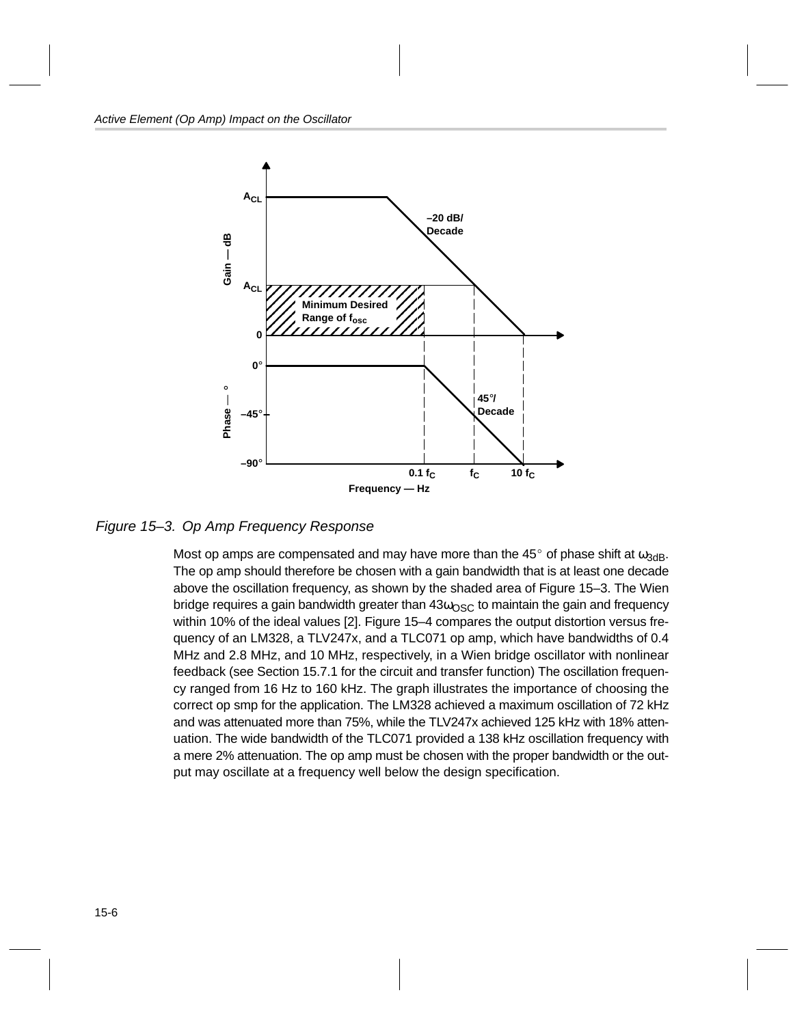

Figure 15–3. Op Amp Frequency Response

Most op amps are compensated and may have more than the 45 $^{\circ}$  of phase shift at  $\omega_{3dB}$ . The op amp should therefore be chosen with a gain bandwidth that is at least one decade above the oscillation frequency, as shown by the shaded area of Figure 15–3. The Wien bridge requires a gain bandwidth greater than  $43\omega<sub>OSC</sub>$  to maintain the gain and frequency within 10% of the ideal values [2]. Figure 15–4 compares the output distortion versus frequency of an LM328, a TLV247x, and a TLC071 op amp, which have bandwidths of 0.4 MHz and 2.8 MHz, and 10 MHz, respectively, in a Wien bridge oscillator with nonlinear feedback (see Section 15.7.1 for the circuit and transfer function) The oscillation frequency ranged from 16 Hz to 160 kHz. The graph illustrates the importance of choosing the correct op smp for the application. The LM328 achieved a maximum oscillation of 72 kHz and was attenuated more than 75%, while the TLV247x achieved 125 kHz with 18% attenuation. The wide bandwidth of the TLC071 provided a 138 kHz oscillation frequency with a mere 2% attenuation. The op amp must be chosen with the proper bandwidth or the output may oscillate at a frequency well below the design specification.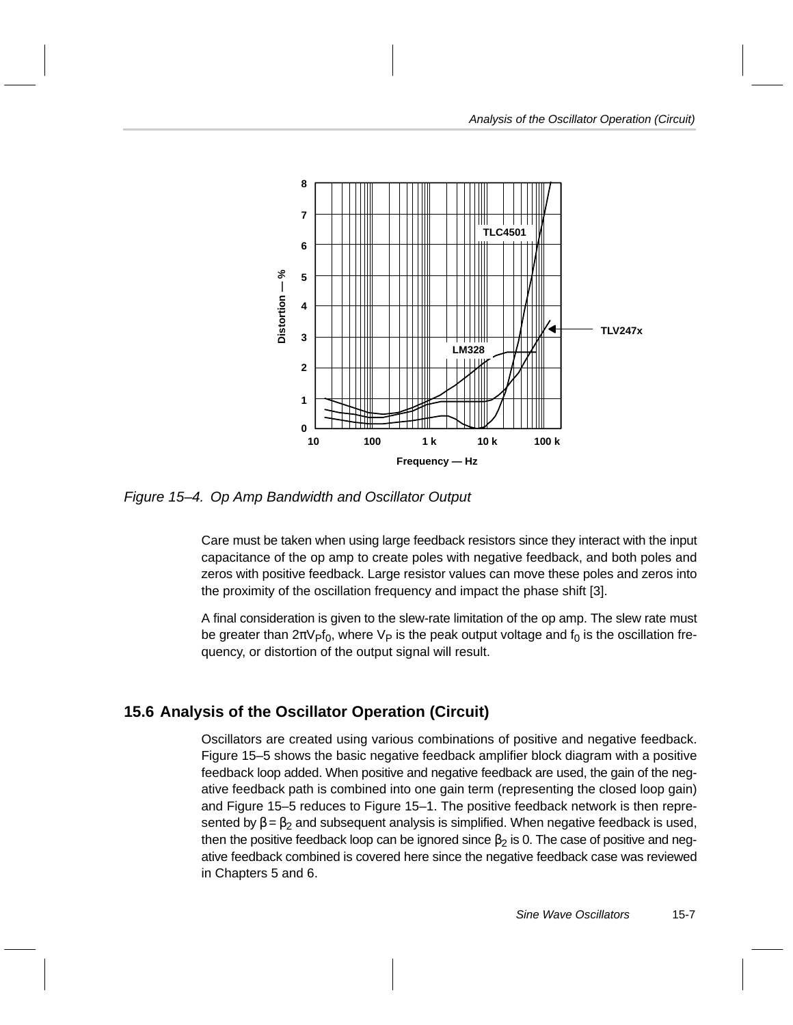

Figure 15–4. Op Amp Bandwidth and Oscillator Output

Care must be taken when using large feedback resistors since they interact with the input capacitance of the op amp to create poles with negative feedback, and both poles and zeros with positive feedback. Large resistor values can move these poles and zeros into the proximity of the oscillation frequency and impact the phase shift [3].

A final consideration is given to the slew-rate limitation of the op amp. The slew rate must be greater than  $2\pi V_{\rm p}f_0$ , where  $V_{\rm p}$  is the peak output voltage and  $f_0$  is the oscillation frequency, or distortion of the output signal will result.

#### **15.6 Analysis of the Oscillator Operation (Circuit)**

Oscillators are created using various combinations of positive and negative feedback. Figure 15–5 shows the basic negative feedback amplifier block diagram with a positive feedback loop added. When positive and negative feedback are used, the gain of the negative feedback path is combined into one gain term (representing the closed loop gain) and Figure 15–5 reduces to Figure 15–1. The positive feedback network is then represented by  $\beta = \beta_2$  and subsequent analysis is simplified. When negative feedback is used, then the positive feedback loop can be ignored since  $\beta_2$  is 0. The case of positive and negative feedback combined is covered here since the negative feedback case was reviewed in Chapters 5 and 6.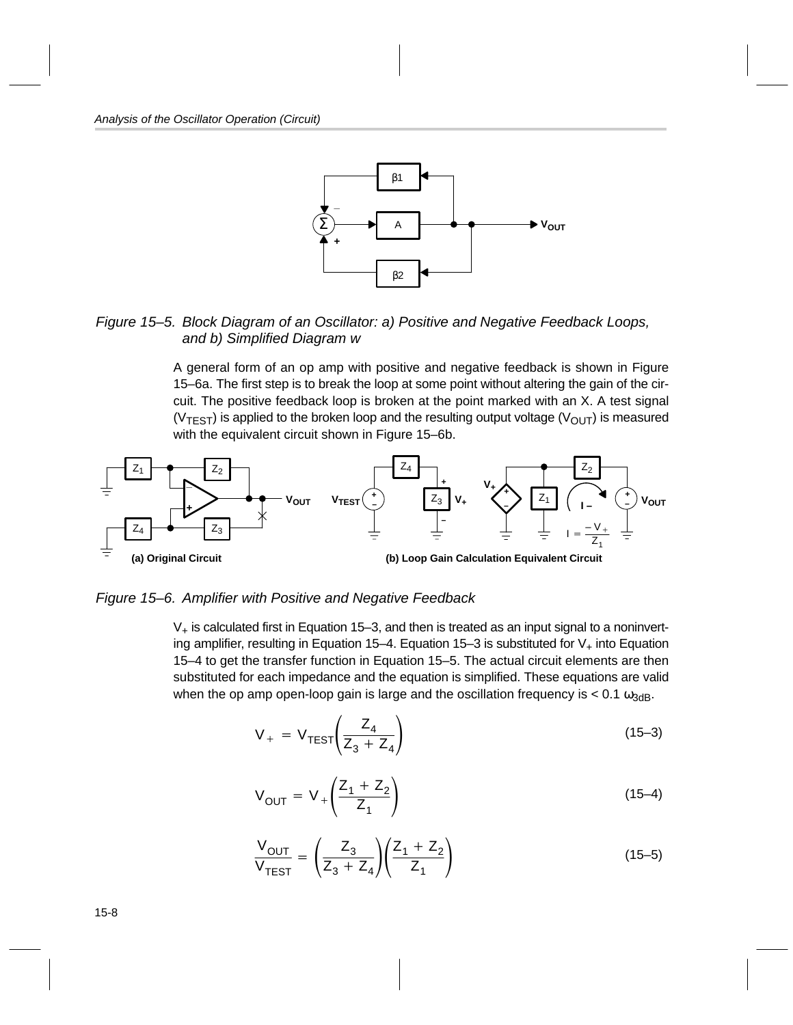

#### Figure 15–5. Block Diagram of an Oscillator: a) Positive and Negative Feedback Loops, and b) Simplified Diagram w

A general form of an op amp with positive and negative feedback is shown in Figure 15–6a. The first step is to break the loop at some point without altering the gain of the circuit. The positive feedback loop is broken at the point marked with an X. A test signal ( $V_{\text{TEST}}$ ) is applied to the broken loop and the resulting output voltage ( $V_{\text{OUT}}$ ) is measured with the equivalent circuit shown in Figure 15–6b.



Figure 15–6. Amplifier with Positive and Negative Feedback

 $V_+$  is calculated first in Equation 15–3, and then is treated as an input signal to a noninverting amplifier, resulting in Equation 15–4. Equation 15–3 is substituted for  $V_+$  into Equation 15–4 to get the transfer function in Equation 15–5. The actual circuit elements are then substituted for each impedance and the equation is simplified. These equations are valid when the op amp open-loop gain is large and the oscillation frequency is  $< 0.1 \omega_{3dB}$ .

$$
V_{+} = V_{\text{TEST}} \left( \frac{Z_4}{Z_3 + Z_4} \right) \tag{15-3}
$$

$$
V_{OUT} = V_{+} \left( \frac{Z_{1} + Z_{2}}{Z_{1}} \right)
$$
 (15–4)

$$
\frac{V_{OUT}}{V_{TEST}} = \left(\frac{Z_3}{Z_3 + Z_4}\right) \left(\frac{Z_1 + Z_2}{Z_1}\right)
$$
\n(15-5)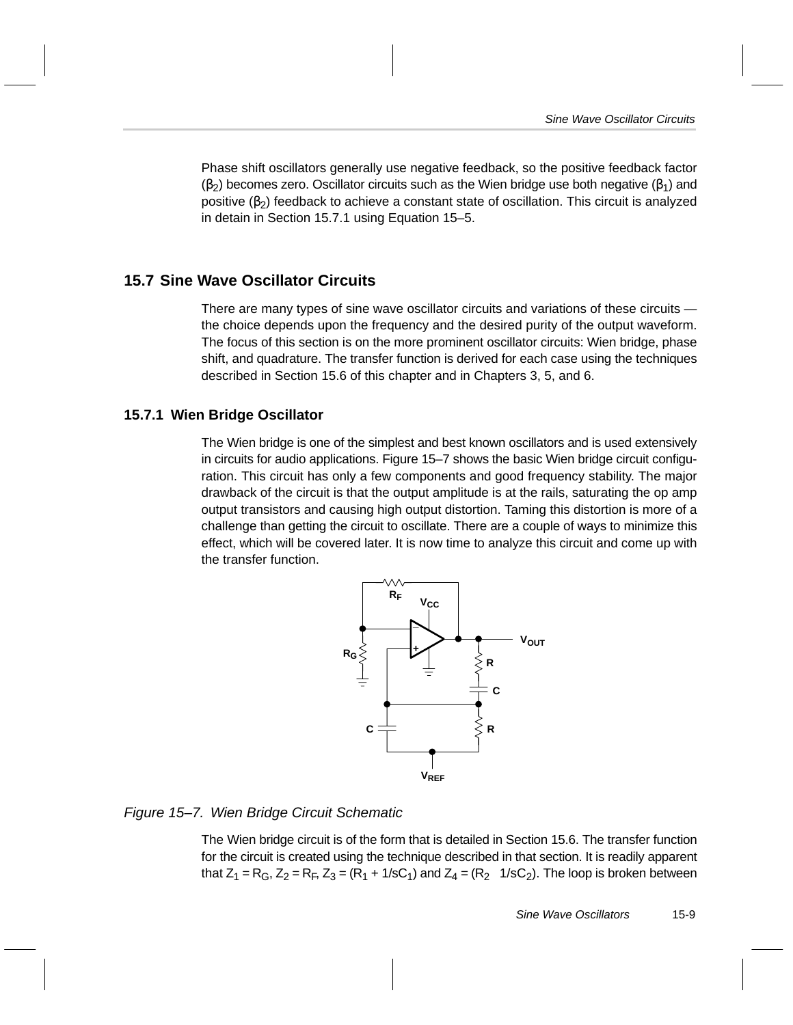Phase shift oscillators generally use negative feedback, so the positive feedback factor (β<sub>2</sub>) becomes zero. Oscillator circuits such as the Wien bridge use both negative (β<sub>1</sub>) and positive  $(\beta_2)$  feedback to achieve a constant state of oscillation. This circuit is analyzed in detain in Section 15.7.1 using Equation 15–5.

#### **15.7 Sine Wave Oscillator Circuits**

There are many types of sine wave oscillator circuits and variations of these circuits the choice depends upon the frequency and the desired purity of the output waveform. The focus of this section is on the more prominent oscillator circuits: Wien bridge, phase shift, and quadrature. The transfer function is derived for each case using the techniques described in Section 15.6 of this chapter and in Chapters 3, 5, and 6.

#### **15.7.1 Wien Bridge Oscillator**

The Wien bridge is one of the simplest and best known oscillators and is used extensively in circuits for audio applications. Figure 15–7 shows the basic Wien bridge circuit configuration. This circuit has only a few components and good frequency stability. The major drawback of the circuit is that the output amplitude is at the rails, saturating the op amp output transistors and causing high output distortion. Taming this distortion is more of a challenge than getting the circuit to oscillate. There are a couple of ways to minimize this effect, which will be covered later. It is now time to analyze this circuit and come up with the transfer function.





The Wien bridge circuit is of the form that is detailed in Section 15.6. The transfer function for the circuit is created using the technique described in that section. It is readily apparent that  $Z_1 = R_G$ ,  $Z_2 = R_F$ ,  $Z_3 = (R_1 + 1/sC_1)$  and  $Z_4 = (R_2 || 1/sC_2)$ . The loop is broken between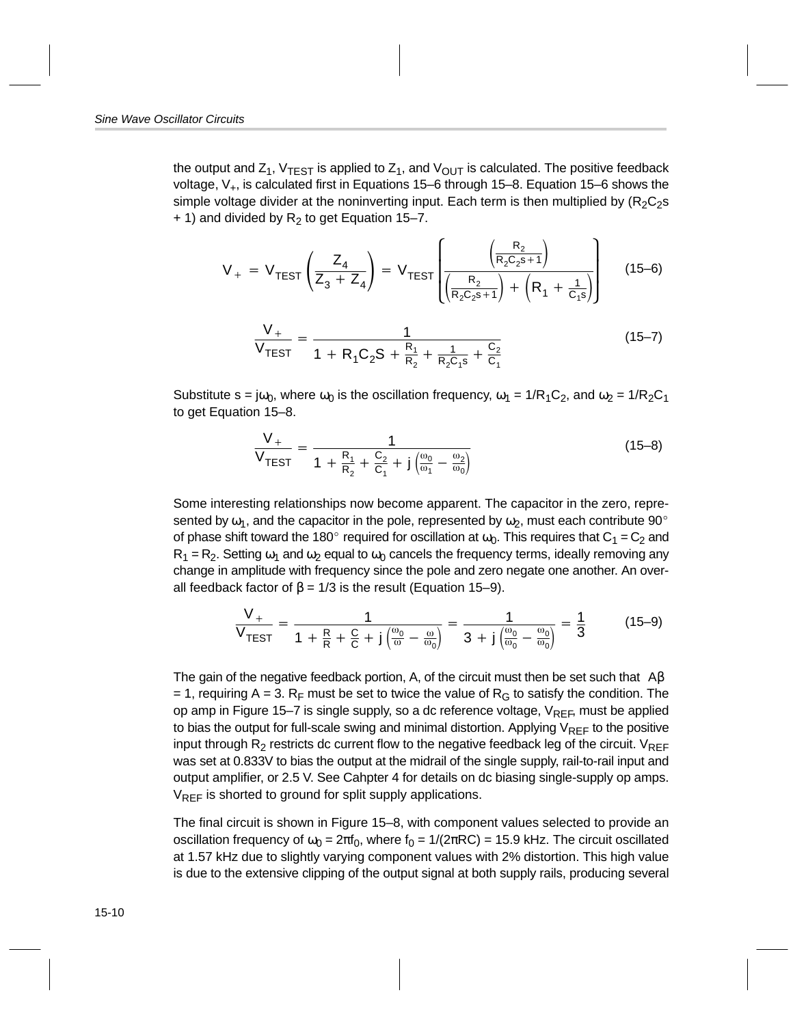the output and  $Z_1$ ,  $V_{\text{TEST}}$  is applied to  $Z_1$ , and  $V_{\text{OUT}}$  is calculated. The positive feedback voltage, V<sub>+</sub>, is calculated first in Equations 15–6 through 15–8. Equation 15–6 shows the simple voltage divider at the noninverting input. Each term is then multiplied by  $(R_2C_2s)$  $+$  1) and divided by R<sub>2</sub> to get Equation 15–7.

$$
V_{+} = V_{\text{TEST}} \left( \frac{Z_{4}}{Z_{3} + Z_{4}} \right) = V_{\text{TEST}} \left( \frac{\left( \frac{R_{2}}{R_{2}C_{2}s + 1} \right)}{\left( \frac{R_{2}}{R_{2}C_{2}s + 1} \right) + \left( R_{1} + \frac{1}{C_{1}s} \right)} \right)
$$
(15–6)

$$
\frac{V_{+}}{V_{\text{TEST}}} = \frac{1}{1 + R_1 C_2 S + \frac{R_1}{R_2} + \frac{1}{R_2 C_1 S} + \frac{C_2}{C_1}}
$$
(15-7)

Substitute s = j $\omega_0$ , where  $\omega_0$  is the oscillation frequency,  $\omega_1 = 1/R_1C_2$ , and  $\omega_2 = 1/R_2C_1$ to get Equation 15–8.

$$
\frac{V_{+}}{V_{\text{TEST}}} = \frac{1}{1 + \frac{R_1}{R_2} + \frac{C_2}{C_1} + j\left(\frac{\omega_0}{\omega_1} - \frac{\omega_2}{\omega_0}\right)}
$$
(15–8)

Some interesting relationships now become apparent. The capacitor in the zero, represented by  $\omega_1$ , and the capacitor in the pole, represented by  $\omega_2$ , must each contribute 90° of phase shift toward the 180° required for oscillation at  $\omega_0$ . This requires that C<sub>1</sub> = C<sub>2</sub> and  $R_1 = R_2$ . Setting  $\omega_1$  and  $\omega_2$  equal to  $\omega_0$  cancels the frequency terms, ideally removing any change in amplitude with frequency since the pole and zero negate one another. An overall feedback factor of  $\beta$  = 1/3 is the result (Equation 15–9).

$$
\frac{V_{+}}{V_{\text{TEST}}} = \frac{1}{1 + \frac{R}{R} + \frac{C}{C} + j\left(\frac{\omega_{0}}{\omega} - \frac{\omega}{\omega_{0}}\right)} = \frac{1}{3 + j\left(\frac{\omega_{0}}{\omega_{0}} - \frac{\omega_{0}}{\omega_{0}}\right)} = \frac{1}{3}
$$
(15-9)

The gain of the negative feedback portion, A, of the circuit must then be set such that  $\vert AB \vert$ = 1, requiring A = 3. R<sub>F</sub> must be set to twice the value of R<sub>G</sub> to satisfy the condition. The op amp in Figure 15–7 is single supply, so a dc reference voltage,  $V_{REF}$ , must be applied to bias the output for full-scale swing and minimal distortion. Applying  $V_{REF}$  to the positive input through  $R_2$  restricts dc current flow to the negative feedback leg of the circuit.  $V_{REF}$ was set at 0.833V to bias the output at the midrail of the single supply, rail-to-rail input and output amplifier, or 2.5 V. See Cahpter 4 for details on dc biasing single-supply op amps.  $V_{REF}$  is shorted to ground for split supply applications.

The final circuit is shown in Figure 15–8, with component values selected to provide an oscillation frequency of  $\omega_0 = 2\pi f_0$ , where  $f_0 = 1/(2\pi RC) = 15.9$  kHz. The circuit oscillated at 1.57 kHz due to slightly varying component values with 2% distortion. This high value is due to the extensive clipping of the output signal at both supply rails, producing several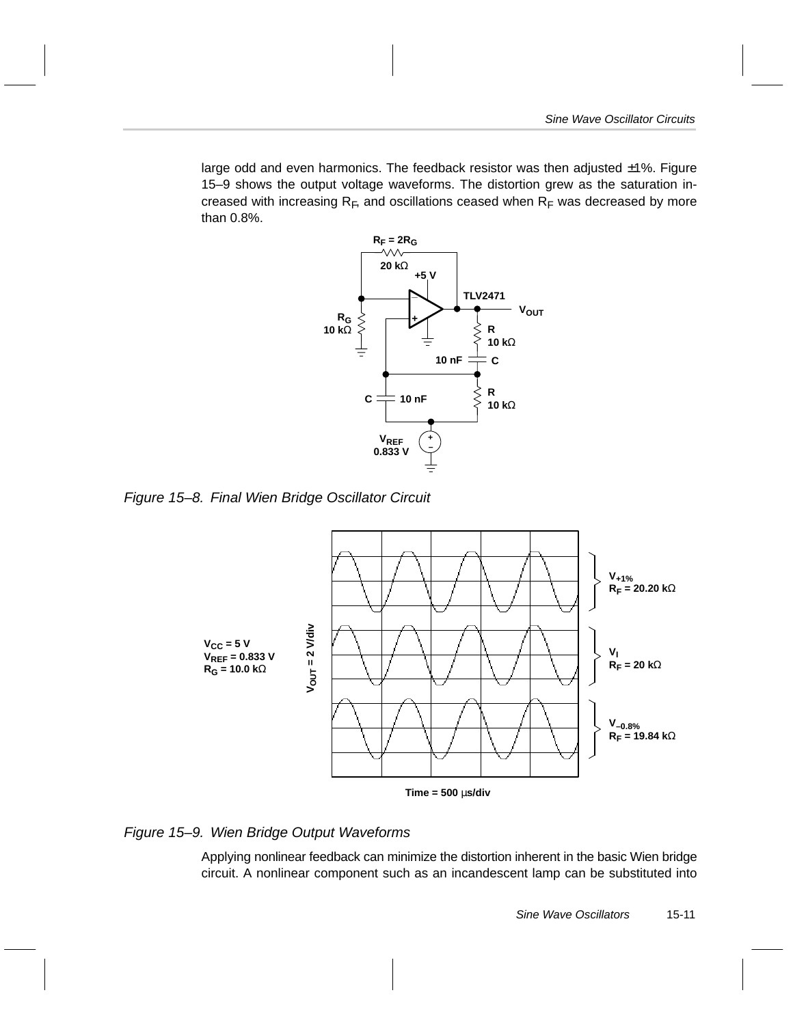large odd and even harmonics. The feedback resistor was then adjusted  $\pm 1\%$ . Figure 15–9 shows the output voltage waveforms. The distortion grew as the saturation increased with increasing  $R_F$ , and oscillations ceased when  $R_F$  was decreased by more than 0.8%.



Figure 15–8. Final Wien Bridge Oscillator Circuit



Figure 15–9. Wien Bridge Output Waveforms

Applying nonlinear feedback can minimize the distortion inherent in the basic Wien bridge circuit. A nonlinear component such as an incandescent lamp can be substituted into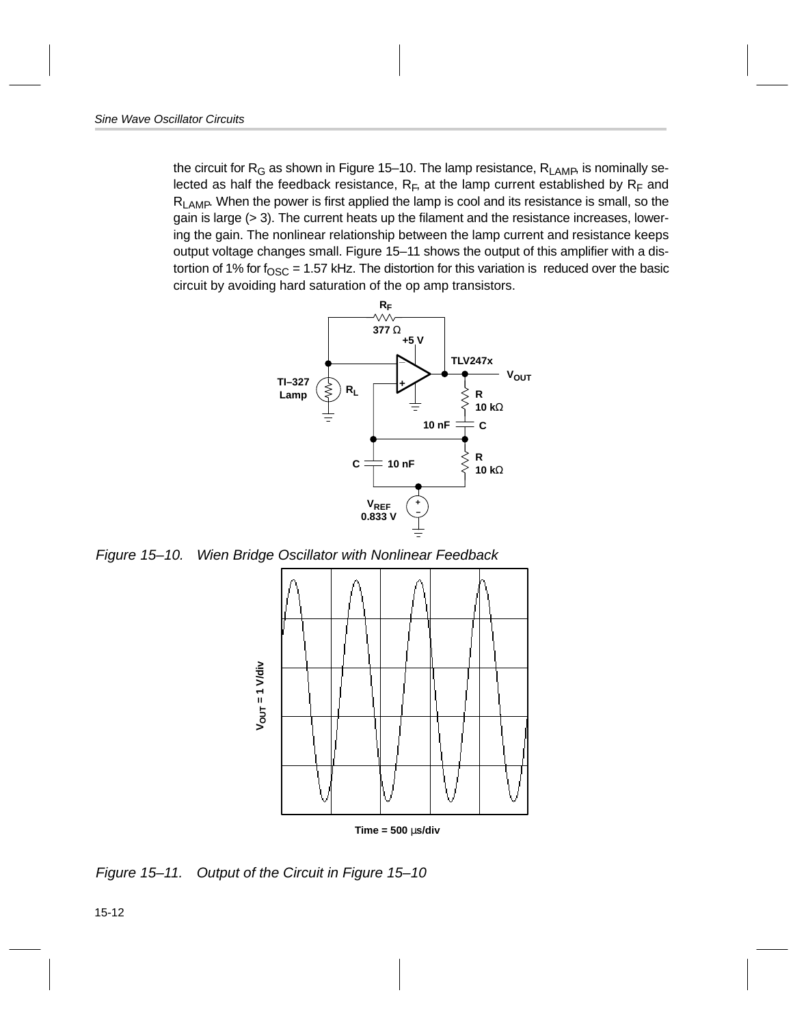the circuit for  $R_G$  as shown in Figure 15–10. The lamp resistance,  $R_{LAMP}$ , is nominally selected as half the feedback resistance,  $R_F$ , at the lamp current established by  $R_F$  and  $R_{LAMP}$ . When the power is first applied the lamp is cool and its resistance is small, so the gain is large  $(> 3)$ . The current heats up the filament and the resistance increases, lowering the gain. The nonlinear relationship between the lamp current and resistance keeps output voltage changes small. Figure 15–11 shows the output of this amplifier with a distortion of 1% for f<sub>OSC</sub> = 1.57 kHz. The distortion for this variation is reduced over the basic circuit by avoiding hard saturation of the op amp transistors.



Figure 15–10. Wien Bridge Oscillator with Nonlinear Feedback



**Time = 500** µ**s/div**

Figure 15–11. Output of the Circuit in Figure 15–10

15-12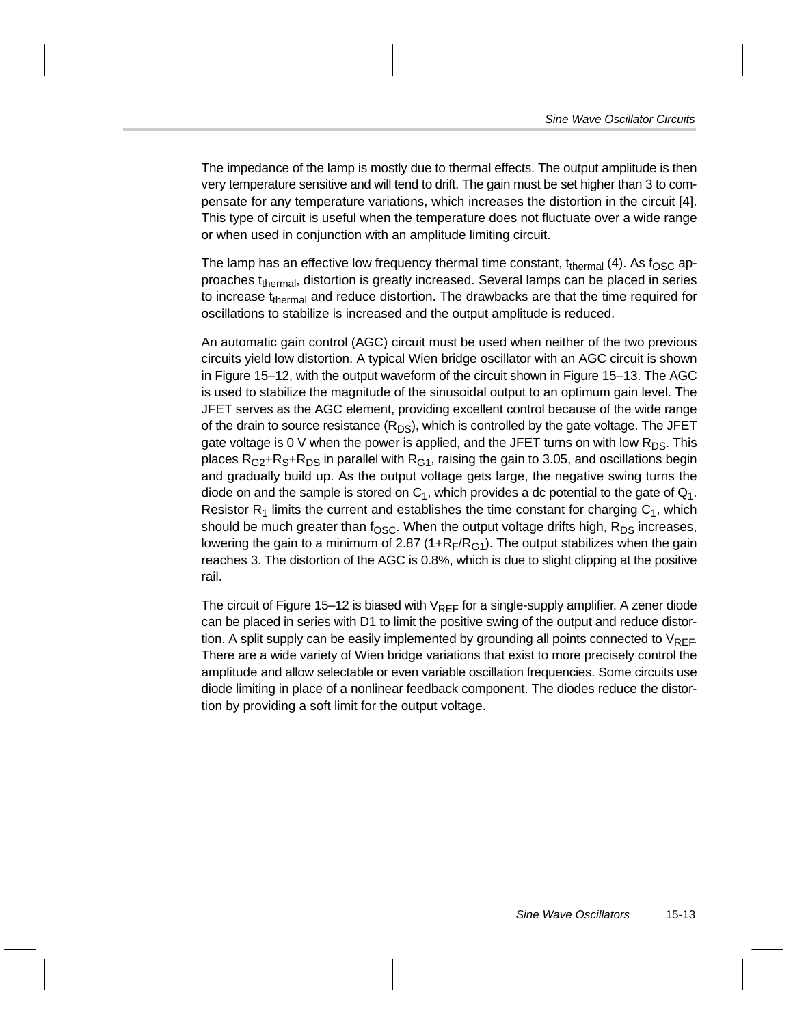The impedance of the lamp is mostly due to thermal effects. The output amplitude is then very temperature sensitive and will tend to drift. The gain must be set higher than 3 to compensate for any temperature variations, which increases the distortion in the circuit [4]. This type of circuit is useful when the temperature does not fluctuate over a wide range or when used in conjunction with an amplitude limiting circuit.

The lamp has an effective low frequency thermal time constant,  $t_{\text{thermal}}$  (4). As f<sub>OSC</sub> approaches t<sub>thermal</sub>, distortion is greatly increased. Several lamps can be placed in series to increase  $t_{\text{thermal}}$  and reduce distortion. The drawbacks are that the time required for oscillations to stabilize is increased and the output amplitude is reduced.

An automatic gain control (AGC) circuit must be used when neither of the two previous circuits yield low distortion. A typical Wien bridge oscillator with an AGC circuit is shown in Figure 15–12, with the output waveform of the circuit shown in Figure 15–13. The AGC is used to stabilize the magnitude of the sinusoidal output to an optimum gain level. The JFET serves as the AGC element, providing excellent control because of the wide range of the drain to source resistance  $(R_{DS})$ , which is controlled by the gate voltage. The JFET gate voltage is 0 V when the power is applied, and the JFET turns on with low  $R_{DS}$ . This places  $R_{G2}+R_S+R_{DS}$  in parallel with  $R_{G1}$ , raising the gain to 3.05, and oscillations begin and gradually build up. As the output voltage gets large, the negative swing turns the diode on and the sample is stored on  $C_1$ , which provides a dc potential to the gate of  $Q_1$ . Resistor  $R_1$  limits the current and establishes the time constant for charging  $C_1$ , which should be much greater than  $f<sub>OSC</sub>$ . When the output voltage drifts high,  $R<sub>DS</sub>$  increases, lowering the gain to a minimum of 2.87 (1+ $R_F/R_{G1}$ ). The output stabilizes when the gain reaches 3. The distortion of the AGC is 0.8%, which is due to slight clipping at the positive rail.

The circuit of Figure 15–12 is biased with  $V_{RFF}$  for a single-supply amplifier. A zener diode can be placed in series with D1 to limit the positive swing of the output and reduce distortion. A split supply can be easily implemented by grounding all points connected to  $V_{REF}$ . There are a wide variety of Wien bridge variations that exist to more precisely control the amplitude and allow selectable or even variable oscillation frequencies. Some circuits use diode limiting in place of a nonlinear feedback component. The diodes reduce the distortion by providing a soft limit for the output voltage.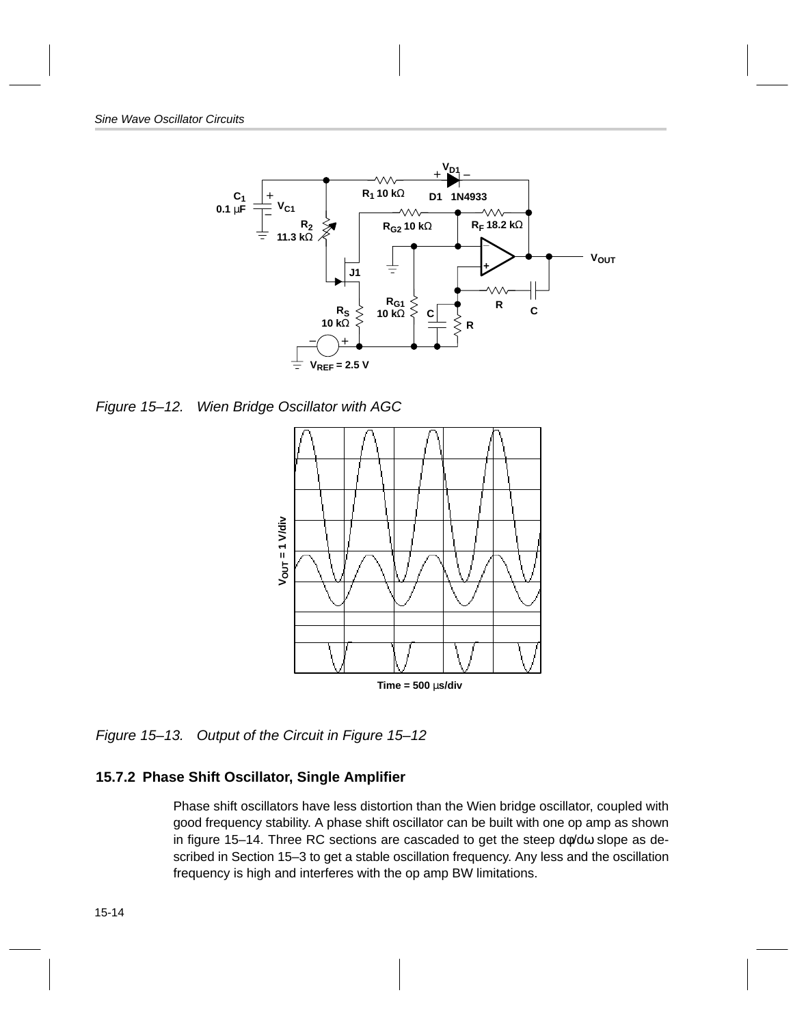

Figure 15–12. Wien Bridge Oscillator with AGC



Figure 15–13. Output of the Circuit in Figure 15–12

# **15.7.2 Phase Shift Oscillator, Single Amplifier**

Phase shift oscillators have less distortion than the Wien bridge oscillator, coupled with good frequency stability. A phase shift oscillator can be built with one op amp as shown in figure 15–14. Three RC sections are cascaded to get the steep dφ/dω slope as described in Section 15–3 to get a stable oscillation frequency. Any less and the oscillation frequency is high and interferes with the op amp BW limitations.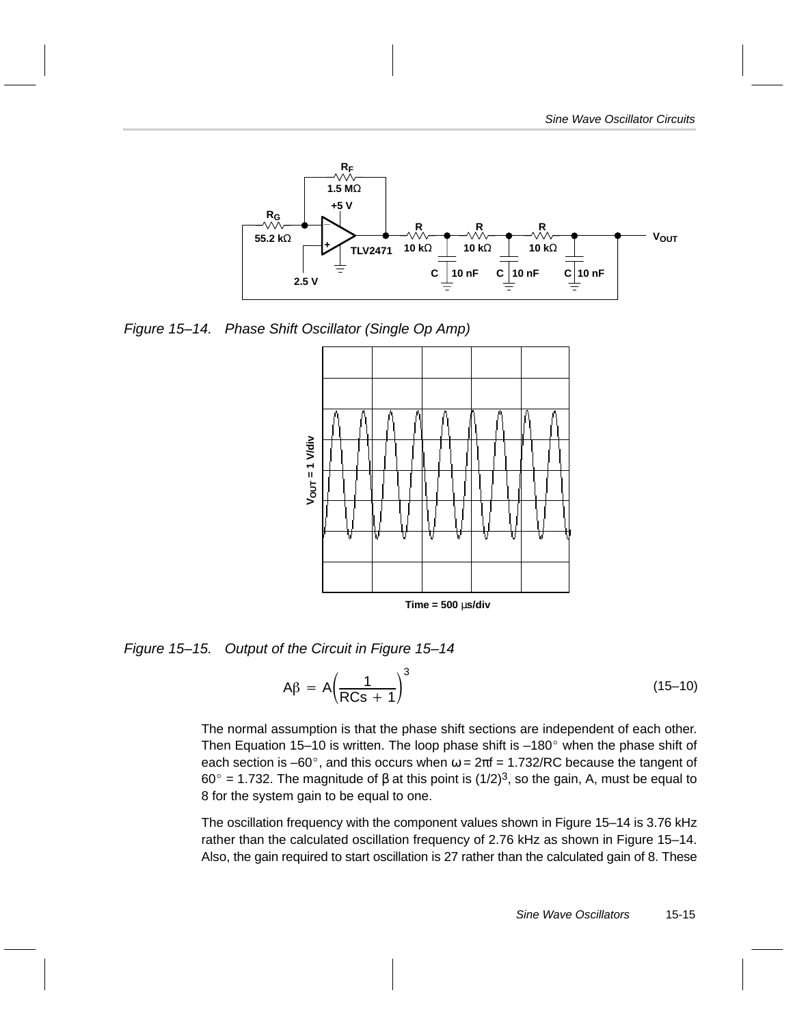

Figure 15–14. Phase Shift Oscillator (Single Op Amp)



Figure 15–15. Output of the Circuit in Figure 15–14

$$
A\beta = A\left(\frac{1}{RCs+1}\right)^3\tag{15-10}
$$

The normal assumption is that the phase shift sections are independent of each other. Then Equation 15-10 is written. The loop phase shift is  $-180^\circ$  when the phase shift of each section is  $-60^{\circ}$ , and this occurs when  $\omega = 2\pi f = 1.732/RC$  because the tangent of  $60^\circ$  = 1.732. The magnitude of β at this point is (1/2)<sup>3</sup>, so the gain, A, must be equal to 8 for the system gain to be equal to one.

The oscillation frequency with the component values shown in Figure 15–14 is 3.76 kHz rather than the calculated oscillation frequency of 2.76 kHz as shown in Figure 15–14. Also, the gain required to start oscillation is 27 rather than the calculated gain of 8. These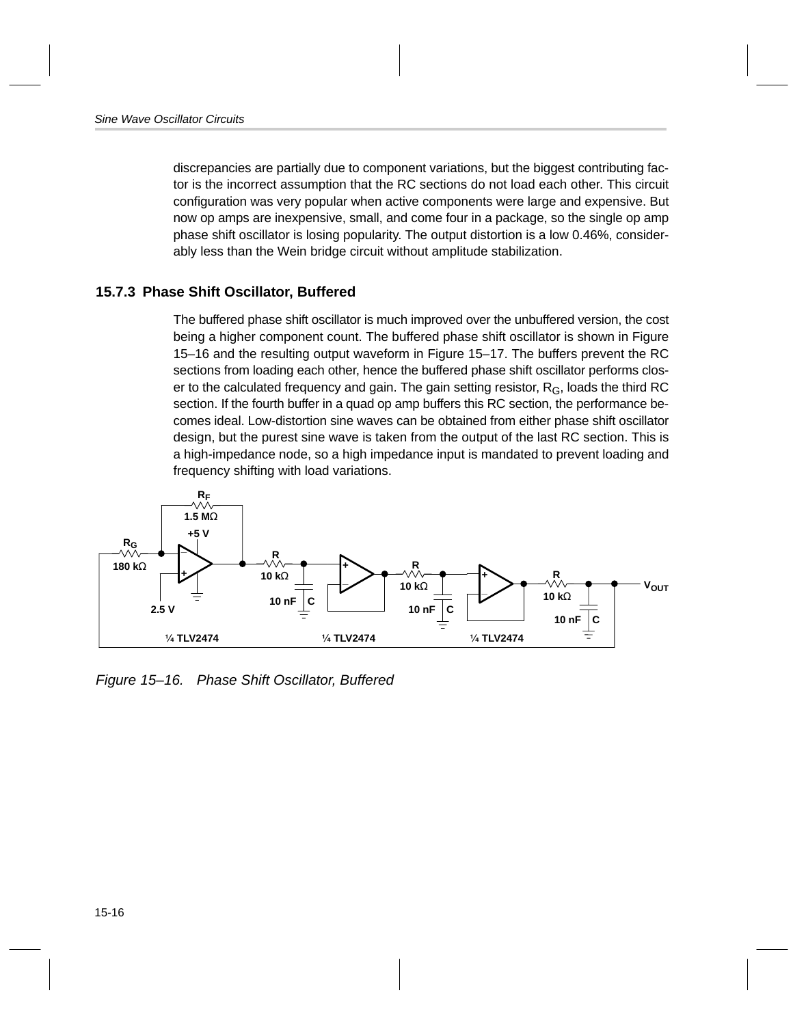discrepancies are partially due to component variations, but the biggest contributing factor is the incorrect assumption that the RC sections do not load each other. This circuit configuration was very popular when active components were large and expensive. But now op amps are inexpensive, small, and come four in a package, so the single op amp phase shift oscillator is losing popularity. The output distortion is a low 0.46%, considerably less than the Wein bridge circuit without amplitude stabilization.

#### **15.7.3 Phase Shift Oscillator, Buffered**

The buffered phase shift oscillator is much improved over the unbuffered version, the cost being a higher component count. The buffered phase shift oscillator is shown in Figure 15–16 and the resulting output waveform in Figure 15–17. The buffers prevent the RC sections from loading each other, hence the buffered phase shift oscillator performs closer to the calculated frequency and gain. The gain setting resistor,  $R_G$ , loads the third RC section. If the fourth buffer in a quad op amp buffers this RC section, the performance becomes ideal. Low-distortion sine waves can be obtained from either phase shift oscillator design, but the purest sine wave is taken from the output of the last RC section. This is a high-impedance node, so a high impedance input is mandated to prevent loading and frequency shifting with load variations.



Figure 15–16. Phase Shift Oscillator, Buffered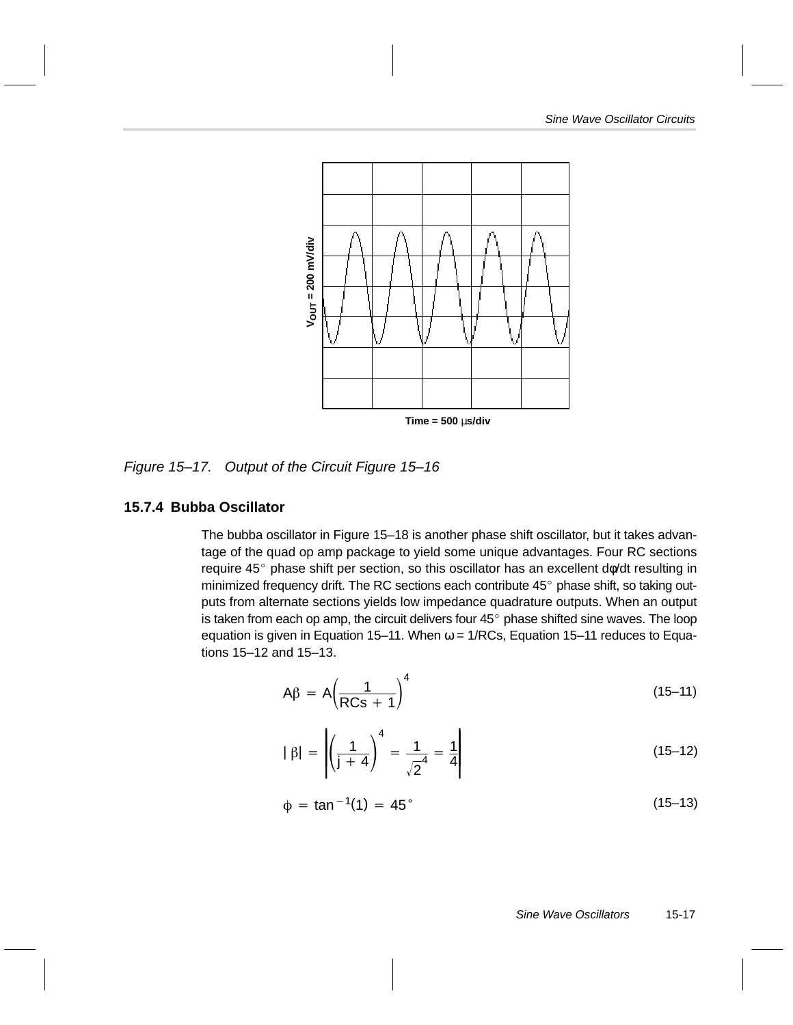

Figure 15–17. Output of the Circuit Figure 15–16

#### **15.7.4 Bubba Oscillator**

The bubba oscillator in Figure 15–18 is another phase shift oscillator, but it takes advantage of the quad op amp package to yield some unique advantages. Four RC sections require 45° phase shift per section, so this oscillator has an excellent dφ/dt resulting in minimized frequency drift. The RC sections each contribute 45° phase shift, so taking outputs from alternate sections yields low impedance quadrature outputs. When an output is taken from each op amp, the circuit delivers four  $45^{\circ}$  phase shifted sine waves. The loop equation is given in Equation 15–11. When  $\omega$  = 1/RCs, Equation 15–11 reduces to Equations 15–12 and 15–13.

$$
A\beta = A \left(\frac{1}{RCs + 1}\right)^4 \tag{15-11}
$$

$$
|\beta| = \left| \left( \frac{1}{j+4} \right)^4 = \frac{1}{\sqrt{2}^4} = \frac{1}{4} \right| \tag{15-12}
$$

$$
\phi = \tan^{-1}(1) = 45^{\circ} \tag{15-13}
$$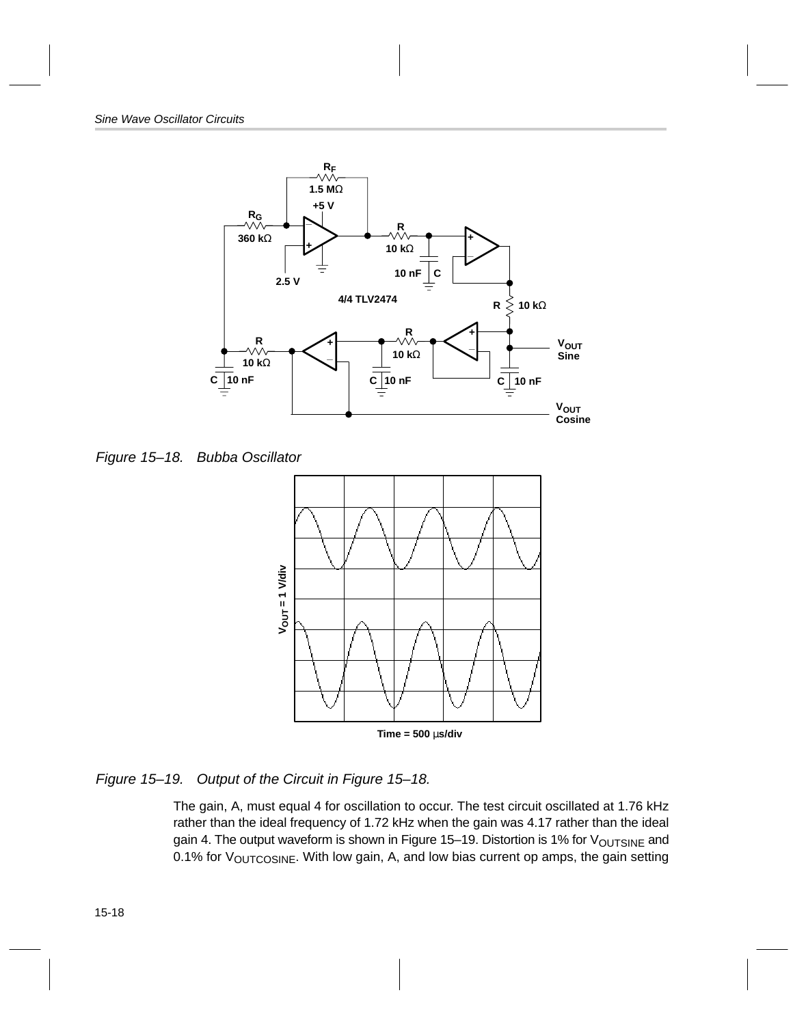

Figure 15–18. Bubba Oscillator



Figure 15–19. Output of the Circuit in Figure 15–18.

The gain, A, must equal 4 for oscillation to occur. The test circuit oscillated at 1.76 kHz rather than the ideal frequency of 1.72 kHz when the gain was 4.17 rather than the ideal gain 4. The output waveform is shown in Figure 15-19. Distortion is 1% for  $V_{\text{OUTSINE}}$  and 0.1% for  $V_{\text{OUTCOSINE}}$ . With low gain, A, and low bias current op amps, the gain setting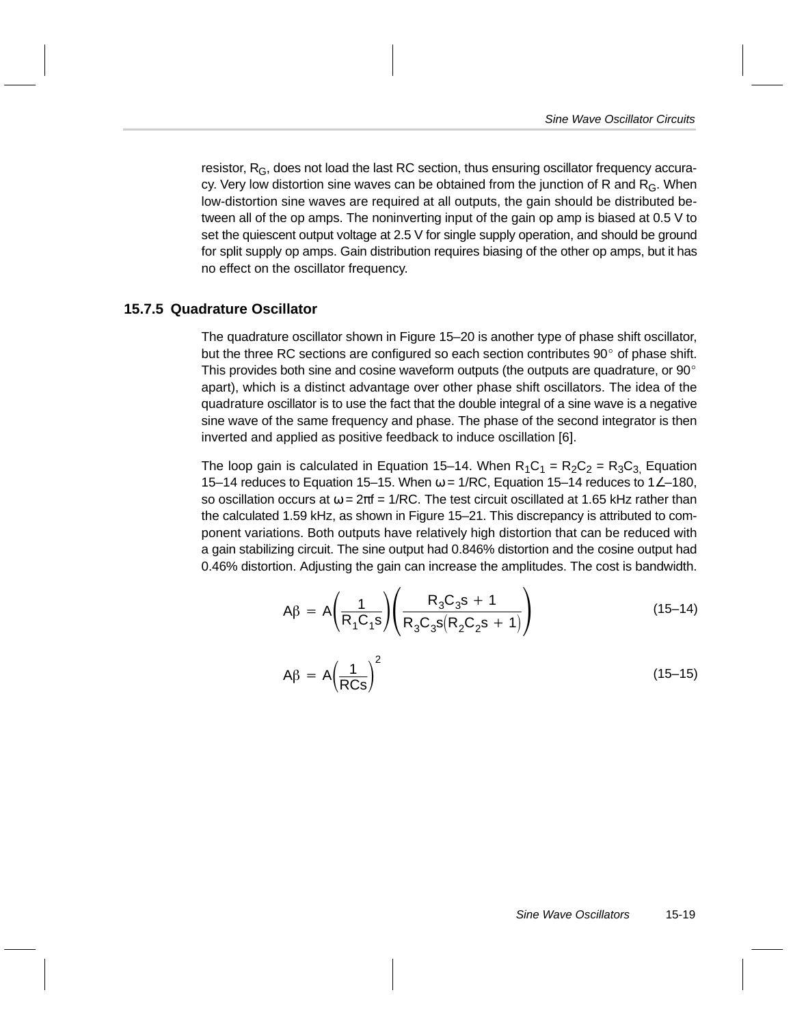resistor,  $R_G$ , does not load the last RC section, thus ensuring oscillator frequency accuracy. Very low distortion sine waves can be obtained from the junction of R and  $R_G$ . When low-distortion sine waves are required at all outputs, the gain should be distributed between all of the op amps. The noninverting input of the gain op amp is biased at 0.5 V to set the quiescent output voltage at 2.5 V for single supply operation, and should be ground for split supply op amps. Gain distribution requires biasing of the other op amps, but it has no effect on the oscillator frequency.

#### **15.7.5 Quadrature Oscillator**

The quadrature oscillator shown in Figure 15–20 is another type of phase shift oscillator, but the three RC sections are configured so each section contributes 90° of phase shift. This provides both sine and cosine waveform outputs (the outputs are quadrature, or 90 $^{\circ}$ apart), which is a distinct advantage over other phase shift oscillators. The idea of the quadrature oscillator is to use the fact that the double integral of a sine wave is a negative sine wave of the same frequency and phase. The phase of the second integrator is then inverted and applied as positive feedback to induce oscillation [6].

The loop gain is calculated in Equation 15–14. When  $R_1C_1 = R_2C_2 = R_3C_3$ . Equation 15–14 reduces to Equation 15–15. When  $ω = 1/RC$ , Equation 15–14 reduces to  $1∠-180$ , so oscillation occurs at  $\omega = 2\pi f = 1/RC$ . The test circuit oscillated at 1.65 kHz rather than the calculated 1.59 kHz, as shown in Figure 15–21. This discrepancy is attributed to component variations. Both outputs have relatively high distortion that can be reduced with a gain stabilizing circuit. The sine output had 0.846% distortion and the cosine output had 0.46% distortion. Adjusting the gain can increase the amplitudes. The cost is bandwidth.

$$
A\beta = A\left(\frac{1}{R_1C_1s}\right)\left(\frac{R_3C_3s + 1}{R_3C_3s(R_2C_2s + 1)}\right)
$$
(15-14)

$$
A\beta = A \left(\frac{1}{\text{RCs}}\right)^2 \tag{15-15}
$$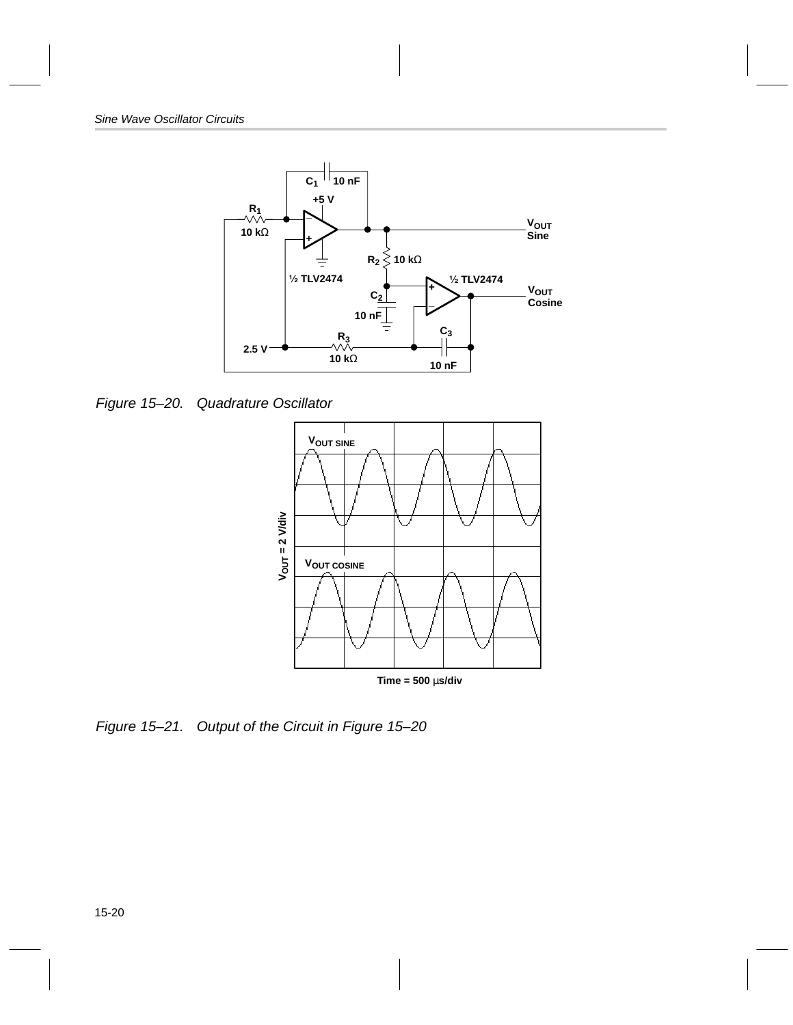

Figure 15–20. Quadrature Oscillator



Figure 15–21. Output of the Circuit in Figure 15–20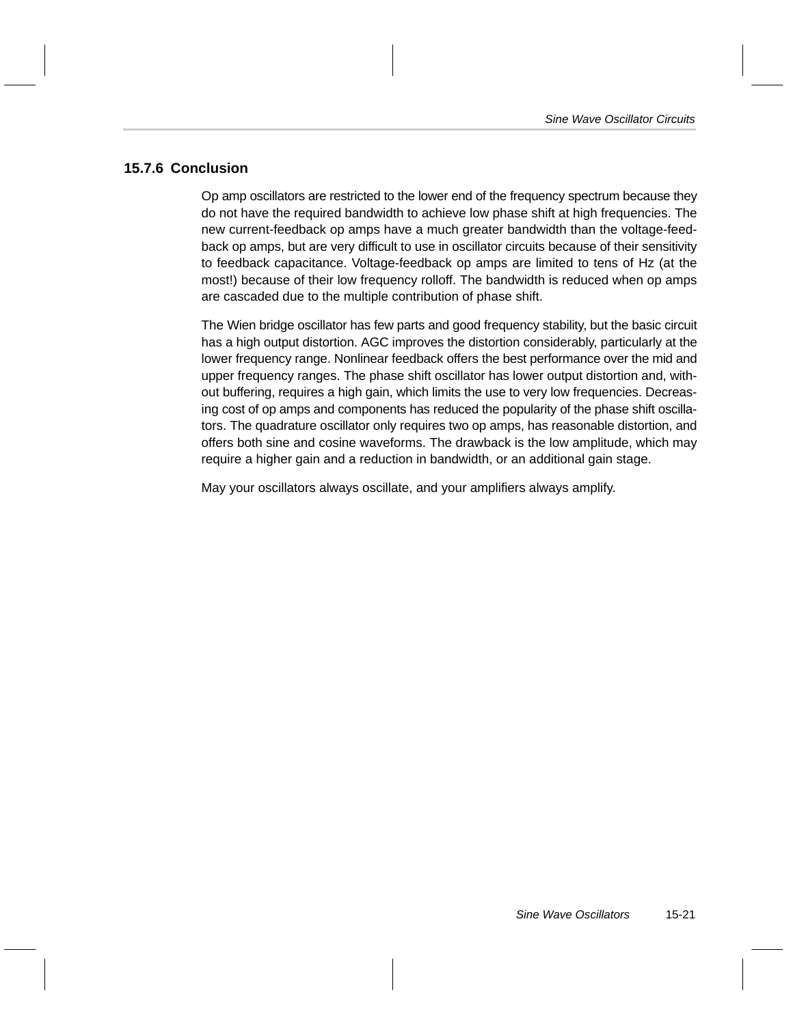# **15.7.6 Conclusion**

Op amp oscillators are restricted to the lower end of the frequency spectrum because they do not have the required bandwidth to achieve low phase shift at high frequencies. The new current-feedback op amps have a much greater bandwidth than the voltage-feedback op amps, but are very difficult to use in oscillator circuits because of their sensitivity to feedback capacitance. Voltage-feedback op amps are limited to tens of Hz (at the most!) because of their low frequency rolloff. The bandwidth is reduced when op amps are cascaded due to the multiple contribution of phase shift.

The Wien bridge oscillator has few parts and good frequency stability, but the basic circuit has a high output distortion. AGC improves the distortion considerably, particularly at the lower frequency range. Nonlinear feedback offers the best performance over the mid and upper frequency ranges. The phase shift oscillator has lower output distortion and, without buffering, requires a high gain, which limits the use to very low frequencies. Decreasing cost of op amps and components has reduced the popularity of the phase shift oscillators. The quadrature oscillator only requires two op amps, has reasonable distortion, and offers both sine and cosine waveforms. The drawback is the low amplitude, which may require a higher gain and a reduction in bandwidth, or an additional gain stage.

May your oscillators always oscillate, and your amplifiers always amplify.